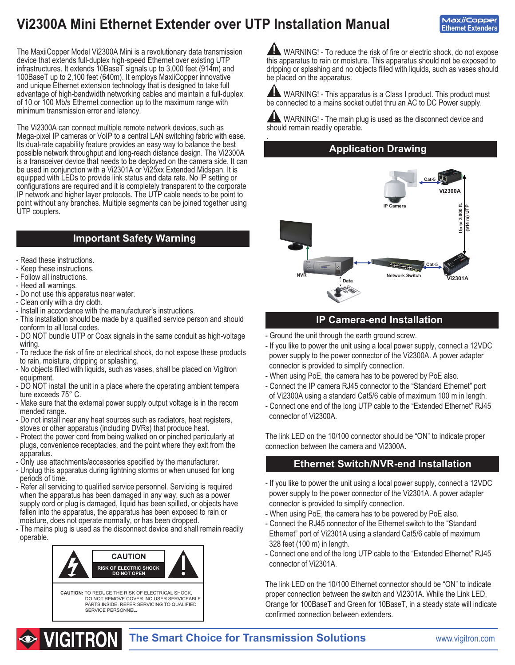# **Vi2300A Mini Ethernet Extender over UTP Installation Manual**

The MaxiiCopper Model Vi2300A Mini is a revolutionary data transmission device that extends full-duplex high-speed Ethernet over existing UTP infrastructures. It extends 10BaseT signals up to 3,000 feet (914m) and 100BaseT up to 2,100 feet (640m). It employs MaxiiCopper innovative and unique Ethernet extension technology that is designed to take full advantage of high-bandwidth networking cables and maintain a full-duplex of 10 or 100 Mb/s Ethernet connection up to the maximum range with minimum transmission error and latency.

The Vi2300A can connect multiple remote network devices, such as Mega-pixel IP cameras or VoIP to a central LAN switching fabric with ease. Its dual-rate capability feature provides an easy way to balance the best possible network throughput and long-reach distance design. The Vi2300A is a transceiver device that needs to be deployed on the camera side. It can be used in conjunction with a Vi2301A or Vi25xx Extended Midspan. It is equipped with LEDs to provide link status and data rate. No IP setting or configurations are required and it is completely transparent to the corporate IP network and higher layer protocols. The UTP cable needs to be point to point without any branches. Multiple segments can be joined together using UTP couplers.

### **Important Safety Warning**

- Read these instructions.
- Keep these instructions.
- Follow all instructions.
- Heed all warnings.
- Do not use this apparatus near water.
- Clean only with a dry cloth.
- Install in accordance with the manufacturer's instructions.
- This installation should be made by a qualified service person and should conform to all local codes.
- DO NOT bundle UTP or Coax signals in the same conduit as high-voltage wiring.
- To reduce the risk of fire or electrical shock, do not expose these products to rain, moisture, dripping or splashing.
- No objects filled with liquids, such as vases, shall be placed on Vigitron equipment.
- DO NOT install the unit in a place where the operating ambient tempera ture exceeds 75° C.
- Make sure that the external power supply output voltage is in the recom mended range.
- Do not install near any heat sources such as radiators, heat registers, stoves or other apparatus (including DVRs) that produce heat.
- Protect the power cord from being walked on or pinched particularly at plugs, convenience receptacles, and the point where they exit from the apparatus.
- Only use attachments/accessories specified by the manufacturer.
- Unplug this apparatus during lightning storms or when unused for long periods of time.
- Refer all servicing to qualified service personnel. Servicing is required when the apparatus has been damaged in any way, such as a power supply cord or plug is damaged, liquid has been spilled, or objects have fallen into the apparatus, the apparatus has been exposed to rain or moisture, does not operate normally, or has been dropped.
- The mains plug is used as the disconnect device and shall remain readily operable.



**AND** WARNING! - To reduce the risk of fire or electric shock, do not expose this apparatus to rain or moisture. This apparatus should not be exposed to dripping or splashing and no objects filled with liquids, such as vases should be placed on the apparatus.

AN WARNING! - This apparatus is a Class I product. This product must be connected to a mains socket outlet thru an AC to DC Power supply.

 WARNING! - The main plug is used as the disconnect device and should remain readily operable. .

**Application Drawing**



#### **IP Camera-end Installation**

- Ground the unit through the earth ground screw.
- If you like to power the unit using a local power supply, connect a 12VDC power supply to the power connector of the Vi2300A. A power adapter connector is provided to simplify connection.
- When using PoE, the camera has to be powered by PoE also.
- Connect the IP camera RJ45 connector to the "Standard Ethernet" port of Vi2300A using a standard Cat5/6 cable of maximum 100 m in length.
- Connect one end of the long UTP cable to the "Extended Ethernet" RJ45 connector of Vi2300A.

The link LED on the 10/100 connector should be "ON" to indicate proper connection between the camera and Vi2300A.

#### **Ethernet Switch/NVR-end Installation**

- If you like to power the unit using a local power supply, connect a 12VDC power supply to the power connector of the Vi2301A. A power adapter connector is provided to simplify connection.
- When using PoE, the camera has to be powered by PoE also.
- Connect the RJ45 connector of the Ethernet switch to the "Standard Ethernet" port of Vi2301A using a standard Cat5/6 cable of maximum 328 feet (100 m) in length.
- Connect one end of the long UTP cable to the "Extended Ethernet" RJ45 connector of Vi2301A.

The link LED on the 10/100 Ethernet connector should be "ON" to indicate proper connection between the switch and Vi2301A. While the Link LED, Orange for 100BaseT and Green for 10BaseT, in a steady state will indicate confirmed connection between extenders.



l,